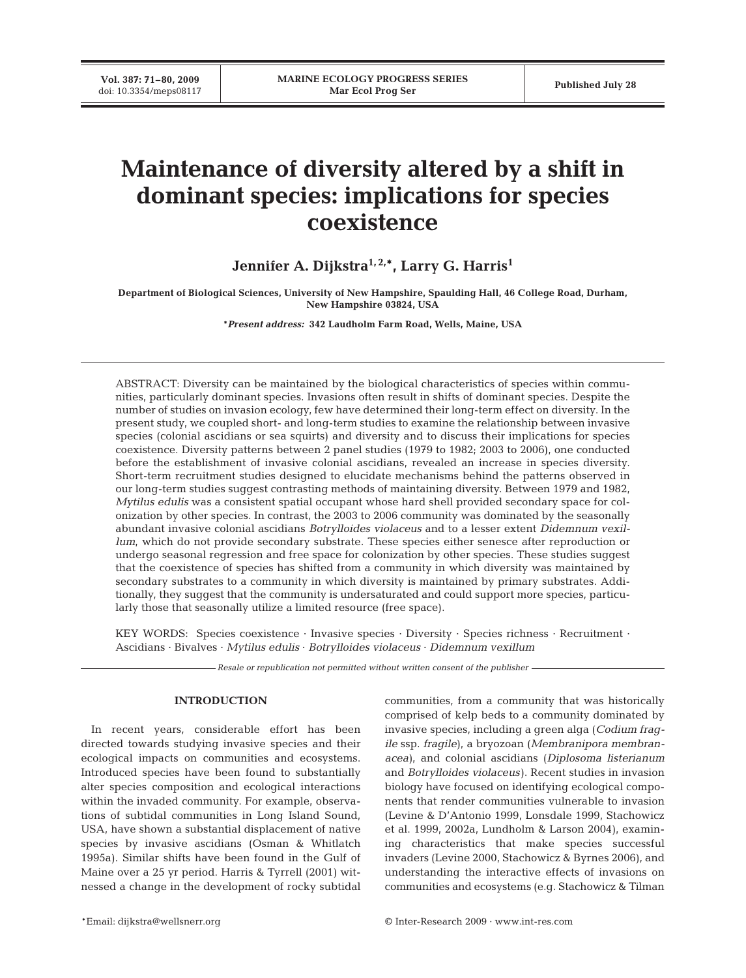**Vol. 387: 71–80, 2009**

# **Maintenance of diversity altered by a shift in dominant species: implications for species coexistence**

Jennifer A. Dijkstra<sup>1,2,\*</sup>, Larry G. Harris<sup>1</sup>

**Department of Biological Sciences, University of New Hampshire, Spaulding Hall, 46 College Road, Durham, New Hampshire 03824, USA**

**\****Present address:* **342 Laudholm Farm Road, Wells, Maine, USA**

ABSTRACT: Diversity can be maintained by the biological characteristics of species within communities, particularly dominant species. Invasions often result in shifts of dominant species. Despite the number of studies on invasion ecology, few have determined their long-term effect on diversity. In the present study, we coupled short- and long-term studies to examine the relationship between invasive species (colonial ascidians or sea squirts) and diversity and to discuss their implications for species coexistence. Diversity patterns between 2 panel studies (1979 to 1982; 2003 to 2006), one conducted before the establishment of invasive colonial ascidians, revealed an increase in species diversity. Short-term recruitment studies designed to elucidate mechanisms behind the patterns observed in our long-term studies suggest contrasting methods of maintaining diversity. Between 1979 and 1982, *Mytilus edulis* was a consistent spatial occupant whose hard shell provided secondary space for colonization by other species. In contrast, the 2003 to 2006 community was dominated by the seasonally abundant invasive colonial ascidians *Botrylloides violaceus* and to a lesser extent *Didemnum vexillum*, which do not provide secondary substrate. These species either senesce after reproduction or undergo seasonal regression and free space for colonization by other species. These studies suggest that the coexistence of species has shifted from a community in which diversity was maintained by secondary substrates to a community in which diversity is maintained by primary substrates. Additionally, they suggest that the community is undersaturated and could support more species, particularly those that seasonally utilize a limited resource (free space).

KEY WORDS: Species coexistence · Invasive species · Diversity · Species richness · Recruitment · Ascidians · Bivalves · *Mytilus edulis* · *Botrylloides violaceus* · *Didemnum vexillum*

*Resale or republication not permitted without written consent of the publisher*

# **INTRODUCTION**

In recent years, considerable effort has been directed towards studying invasive species and their ecological impacts on communities and ecosystems. Introduced species have been found to substantially alter species composition and ecological interactions within the invaded community. For example, observations of subtidal communities in Long Island Sound, USA, have shown a substantial displacement of native species by invasive ascidians (Osman & Whitlatch 1995a). Similar shifts have been found in the Gulf of Maine over a 25 yr period. Harris & Tyrrell (2001) witnessed a change in the development of rocky subtidal communities, from a community that was historically comprised of kelp beds to a community dominated by invasive species, including a green alga (*Codium fragile* ssp. *fragile)*, a bryozoan (*Membranipora membranacea)*, and colonial ascidians (*Diplosoma listerianum* and *Botrylloides violaceus)*. Recent studies in invasion biology have focused on identifying ecological components that render communities vulnerable to invasion (Levine & D'Antonio 1999, Lonsdale 1999, Stachowicz et al. 1999, 2002a, Lundholm & Larson 2004), examining characteristics that make species successful invaders (Levine 2000, Stachowicz & Byrnes 2006), and understanding the interactive effects of invasions on communities and ecosystems (e.g. Stachowicz & Tilman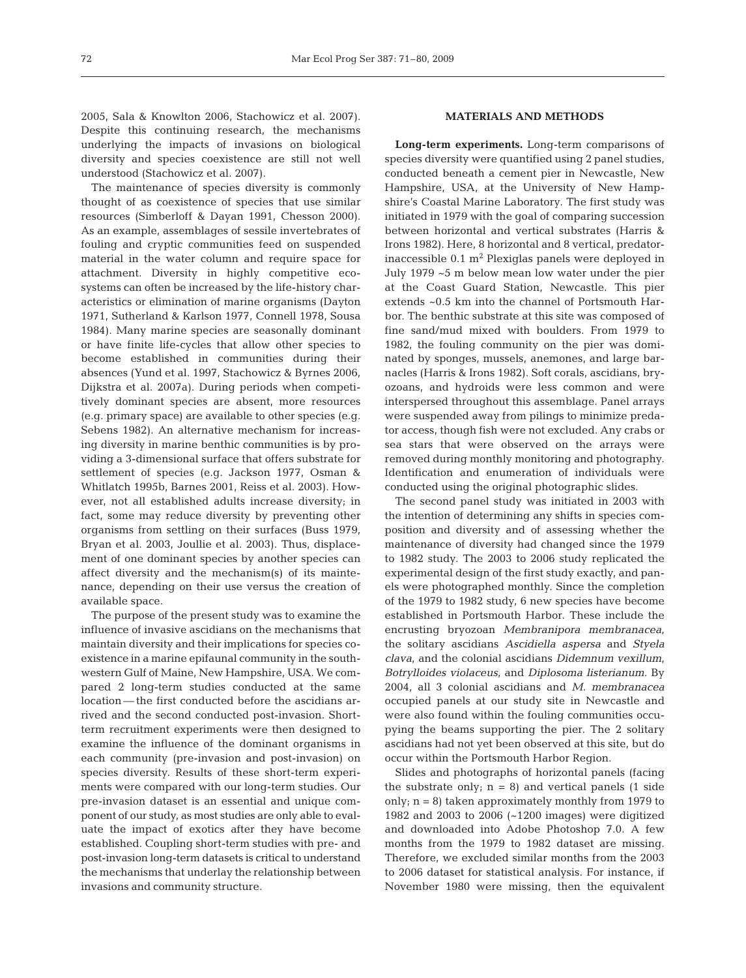2005, Sala & Knowlton 2006, Stachowicz et al. 2007). Despite this continuing research, the mechanisms underlying the impacts of invasions on biological diversity and species coexistence are still not well understood (Stachowicz et al. 2007).

The maintenance of species diversity is commonly thought of as coexistence of species that use similar resources (Simberloff & Dayan 1991, Chesson 2000). As an example, assemblages of sessile invertebrates of fouling and cryptic communities feed on suspended material in the water column and require space for attachment. Diversity in highly competitive ecosystems can often be increased by the life-history characteristics or elimination of marine organisms (Dayton 1971, Sutherland & Karlson 1977, Connell 1978, Sousa 1984). Many marine species are seasonally dominant or have finite life-cycles that allow other species to become established in communities during their absences (Yund et al. 1997, Stachowicz & Byrnes 2006, Dijkstra et al. 2007a). During periods when competitively dominant species are absent, more resources (e.g. primary space) are available to other species (e.g. Sebens 1982). An alternative mechanism for increasing diversity in marine benthic communities is by providing a 3-dimensional surface that offers substrate for settlement of species (e.g. Jackson 1977, Osman & Whitlatch 1995b, Barnes 2001, Reiss et al. 2003). However, not all established adults increase diversity; in fact, some may reduce diversity by preventing other organisms from settling on their surfaces (Buss 1979, Bryan et al. 2003, Joullie et al. 2003). Thus, displacement of one dominant species by another species can affect diversity and the mechanism(s) of its maintenance, depending on their use versus the creation of available space.

The purpose of the present study was to examine the influence of invasive ascidians on the mechanisms that maintain diversity and their implications for species coexistence in a marine epifaunal community in the southwestern Gulf of Maine, New Hampshire, USA. We compared 2 long-term studies conducted at the same location — the first conducted before the ascidians arrived and the second conducted post-invasion. Shortterm recruitment experiments were then designed to examine the influence of the dominant organisms in each community (pre-invasion and post-invasion) on species diversity. Results of these short-term experiments were compared with our long-term studies. Our pre-invasion dataset is an essential and unique component of our study, as most studies are only able to evaluate the impact of exotics after they have become established. Coupling short-term studies with pre- and post-invasion long-term datasets is critical to understand the mechanisms that underlay the relationship between invasions and community structure.

## **MATERIALS AND METHODS**

**Long-term experiments.** Long-term comparisons of species diversity were quantified using 2 panel studies, conducted beneath a cement pier in Newcastle, New Hampshire, USA, at the University of New Hampshire's Coastal Marine Laboratory. The first study was initiated in 1979 with the goal of comparing succession between horizontal and vertical substrates (Harris & Irons 1982). Here, 8 horizontal and 8 vertical, predatorinaccessible  $0.1 \text{ m}^2$  Plexiglas panels were deployed in July 1979 ~5 m below mean low water under the pier at the Coast Guard Station, Newcastle. This pier extends ~0.5 km into the channel of Portsmouth Harbor. The benthic substrate at this site was composed of fine sand/mud mixed with boulders. From 1979 to 1982, the fouling community on the pier was dominated by sponges, mussels, anemones, and large barnacles (Harris & Irons 1982). Soft corals, ascidians, bryozoans, and hydroids were less common and were interspersed throughout this assemblage. Panel arrays were suspended away from pilings to minimize predator access, though fish were not excluded. Any crabs or sea stars that were observed on the arrays were removed during monthly monitoring and photography. Identification and enumeration of individuals were conducted using the original photographic slides.

The second panel study was initiated in 2003 with the intention of determining any shifts in species composition and diversity and of assessing whether the maintenance of diversity had changed since the 1979 to 1982 study. The 2003 to 2006 study replicated the experimental design of the first study exactly, and panels were photographed monthly. Since the completion of the 1979 to 1982 study, 6 new species have become established in Portsmouth Harbor. These include the encrusting bryozoan *Membranipora membranacea*, the solitary ascidians *Ascidiella aspersa* and *Styela clava*, and the colonial ascidians *Didemnum vexillum*, *Botrylloides violaceus*, and *Diplosoma listerianum*. By 2004, all 3 colonial ascidians and *M. membranacea* occupied panels at our study site in Newcastle and were also found within the fouling communities occupying the beams supporting the pier. The 2 solitary ascidians had not yet been observed at this site, but do occur within the Portsmouth Harbor Region.

Slides and photographs of horizontal panels (facing the substrate only;  $n = 8$ ) and vertical panels (1 side only;  $n = 8$ ) taken approximately monthly from 1979 to 1982 and 2003 to 2006 (~1200 images) were digitized and downloaded into Adobe Photoshop 7.0. A few months from the 1979 to 1982 dataset are missing. Therefore, we excluded similar months from the 2003 to 2006 dataset for statistical analysis. For instance, if November 1980 were missing, then the equivalent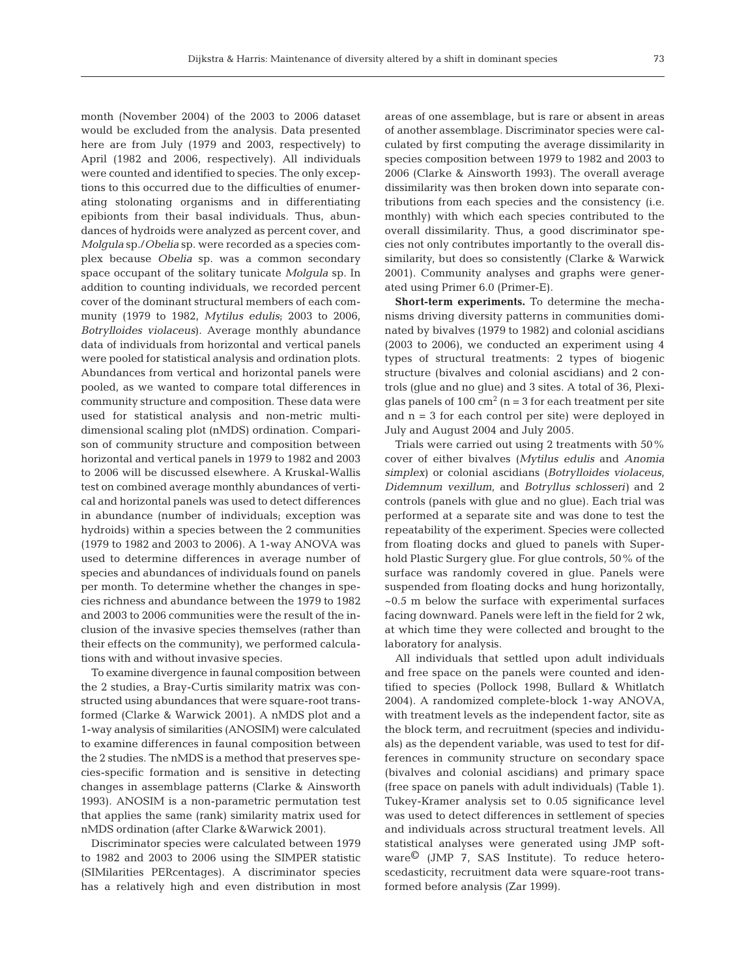month (November 2004) of the 2003 to 2006 dataset would be excluded from the analysis. Data presented here are from July (1979 and 2003, respectively) to April (1982 and 2006, respectively). All individuals were counted and identified to species. The only exceptions to this occurred due to the difficulties of enumerating stolonating organisms and in differentiating epibionts from their basal individuals. Thus, abundances of hydroids were analyzed as percent cover, and *Molgula* sp./*Obelia* sp. were recorded as a species complex because *Obelia* sp. was a common secondary space occupant of the solitary tunicate *Molgula* sp. In addition to counting individuals, we recorded percent cover of the dominant structural members of each community (1979 to 1982, *Mytilus edulis*; 2003 to 2006, *Botrylloides violaceus*). Average monthly abundance data of individuals from horizontal and vertical panels were pooled for statistical analysis and ordination plots. Abundances from vertical and horizontal panels were pooled, as we wanted to compare total differences in community structure and composition. These data were used for statistical analysis and non-metric multidimensional scaling plot (nMDS) ordination. Comparison of community structure and composition between horizontal and vertical panels in 1979 to 1982 and 2003 to 2006 will be discussed elsewhere. A Kruskal-Wallis test on combined average monthly abundances of vertical and horizontal panels was used to detect differences in abundance (number of individuals; exception was hydroids) within a species between the 2 communities (1979 to 1982 and 2003 to 2006). A 1-way ANOVA was used to determine differences in average number of species and abundances of individuals found on panels per month. To determine whether the changes in species richness and abundance between the 1979 to 1982 and 2003 to 2006 communities were the result of the inclusion of the invasive species themselves (rather than their effects on the community), we performed calculations with and without invasive species.

To examine divergence in faunal composition between the 2 studies, a Bray-Curtis similarity matrix was constructed using abundances that were square-root transformed (Clarke & Warwick 2001). A nMDS plot and a 1-way analysis of similarities (ANOSIM) were calculated to examine differences in faunal composition between the 2 studies. The nMDS is a method that preserves species-specific formation and is sensitive in detecting changes in assemblage patterns (Clarke & Ainsworth 1993). ANOSIM is a non-parametric permutation test that applies the same (rank) similarity matrix used for nMDS ordination (after Clarke &Warwick 2001).

Discriminator species were calculated between 1979 to 1982 and 2003 to 2006 using the SIMPER statistic (SIMilarities PERcentages). A discriminator species has a relatively high and even distribution in most areas of one assemblage, but is rare or absent in areas of another assemblage. Discriminator species were calculated by first computing the average dissimilarity in species composition between 1979 to 1982 and 2003 to 2006 (Clarke & Ainsworth 1993). The overall average dissimilarity was then broken down into separate contributions from each species and the consistency (i.e. monthly) with which each species contributed to the overall dissimilarity. Thus, a good discriminator species not only contributes importantly to the overall dissimilarity, but does so consistently (Clarke & Warwick 2001). Community analyses and graphs were generated using Primer 6.0 (Primer-E).

**Short-term experiments.** To determine the mechanisms driving diversity patterns in communities dominated by bivalves (1979 to 1982) and colonial ascidians (2003 to 2006), we conducted an experiment using 4 types of structural treatments: 2 types of biogenic structure (bivalves and colonial ascidians) and 2 controls (glue and no glue) and 3 sites. A total of 36, Plexiglas panels of 100  $\text{cm}^2$  (n = 3 for each treatment per site and  $n = 3$  for each control per site) were deployed in July and August 2004 and July 2005.

Trials were carried out using 2 treatments with 50% cover of either bivalves (*Mytilus edulis* and *Anomia simplex*) or colonial ascidians (*Botrylloides violaceus*, *Didemnum vexillum*, and *Botryllus schlosseri)* and 2 controls (panels with glue and no glue). Each trial was performed at a separate site and was done to test the repeatability of the experiment. Species were collected from floating docks and glued to panels with Superhold Plastic Surgery glue. For glue controls, 50% of the surface was randomly covered in glue. Panels were suspended from floating docks and hung horizontally, ~0.5 m below the surface with experimental surfaces facing downward. Panels were left in the field for 2 wk, at which time they were collected and brought to the laboratory for analysis.

All individuals that settled upon adult individuals and free space on the panels were counted and identified to species (Pollock 1998, Bullard & Whitlatch 2004). A randomized complete-block 1-way ANOVA, with treatment levels as the independent factor, site as the block term, and recruitment (species and individuals) as the dependent variable, was used to test for differences in community structure on secondary space (bivalves and colonial ascidians) and primary space (free space on panels with adult individuals) (Table 1). Tukey-Kramer analysis set to 0.05 significance level was used to detect differences in settlement of species and individuals across structural treatment levels. All statistical analyses were generated using JMP software© (JMP 7, SAS Institute). To reduce heteroscedasticity, recruitment data were square-root transformed before analysis (Zar 1999).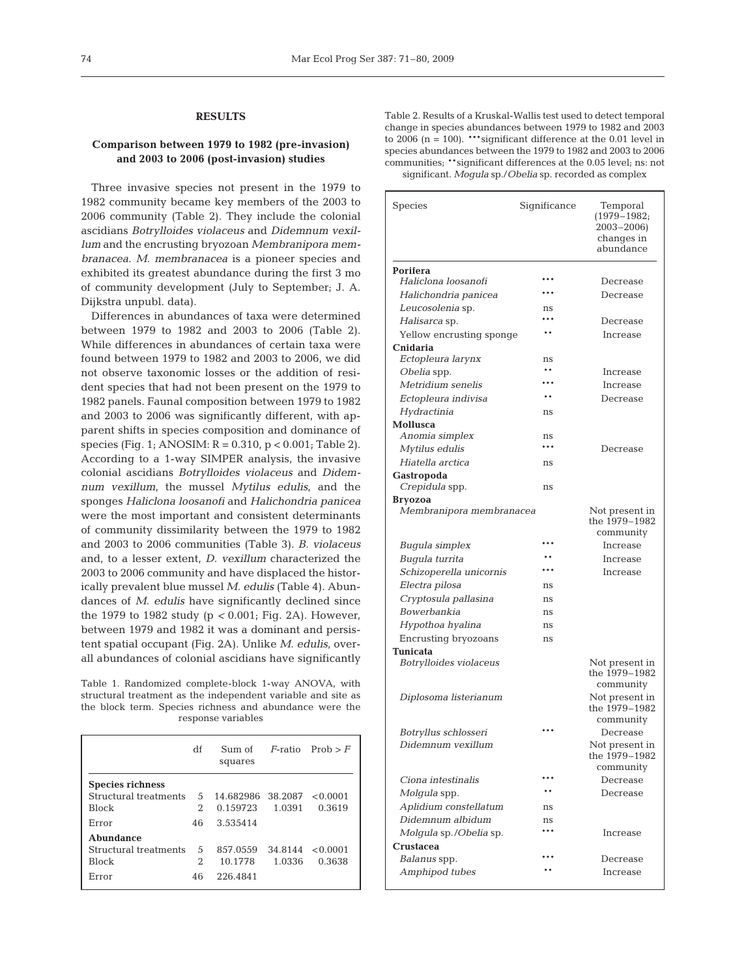## **RESULTS**

# **Comparison between 1979 to 1982 (pre-invasion) and 2003 to 2006 (post-invasion) studies**

Three invasive species not present in the 1979 to 1982 community became key members of the 2003 to 2006 community (Table 2). They include the colonial ascidians *Botrylloides violaceus* and *Didemnum vexillum* and the encrusting bryozoan *Membranipora membranacea*. *M. membranacea* is a pioneer species and exhibited its greatest abundance during the first 3 mo of community development (July to September; J. A. Dijkstra unpubl. data).

Differences in abundances of taxa were determined between 1979 to 1982 and 2003 to 2006 (Table 2). While differences in abundances of certain taxa were found between 1979 to 1982 and 2003 to 2006, we did not observe taxonomic losses or the addition of resident species that had not been present on the 1979 to 1982 panels. Faunal composition between 1979 to 1982 and 2003 to 2006 was significantly different, with apparent shifts in species composition and dominance of species (Fig. 1; ANOSIM:  $R = 0.310$ ,  $p < 0.001$ ; Table 2). According to a 1-way SIMPER analysis, the invasive colonial ascidians *Botrylloides violaceus* and *Didemnum vexillum*, the mussel *Mytilus edulis*, and the sponges *Haliclona loosanofi* and *Halichondria panicea* were the most important and consistent determinants of community dissimilarity between the 1979 to 1982 and 2003 to 2006 communities (Table 3). *B. violaceus* and, to a lesser extent, *D. vexillum* characterized the 2003 to 2006 community and have displaced the historically prevalent blue mussel *M. edulis* (Table 4). Abundances of *M. edulis* have significantly declined since the 1979 to 1982 study (p *<* 0.001; Fig. 2A). However, between 1979 and 1982 it was a dominant and persistent spatial occupant (Fig. 2A). Unlike *M. edulis*, overall abundances of colonial ascidians have significantly

Table 1. Randomized complete-block 1-way ANOVA, with structural treatment as the independent variable and site as the block term. Species richness and abundance were the response variables

|                                                    | df                          | Sum of<br>squares   | F-ratio | Prob > F                       |
|----------------------------------------------------|-----------------------------|---------------------|---------|--------------------------------|
| <b>Species richness</b><br>Structural treatments   | 5                           | 14.682986           | 38.2087 | < 0.0001                       |
| <b>Block</b>                                       | $\mathcal{D}_{\mathcal{L}}$ | 0.159723            | 1.0391  | 0.3619                         |
| Error                                              | 46                          | 3.535414            |         |                                |
| Abundance<br>Structural treatments<br><b>Block</b> | 5<br>2                      | 857.0559<br>10.1778 | 1.0336  | $34.8144 \le 0.0001$<br>0.3638 |
| Error                                              | 46                          | 226.4841            |         |                                |

Table 2. Results of a Kruskal-Wallis test used to detect temporal change in species abundances between 1979 to 1982 and 2003 to 2006 ( $n = 100$ ). \*\*\* significant difference at the 0.01 level in species abundances between the 1979 to 1982 and 2003 to 2006 communities; \*\*significant differences at the 0.05 level; ns: not significant. *Mogula* sp./*Obelia* sp. recorded as complex

| Species                  | Significance  | Temporal<br>$(1979 - 1982;$<br>2003–2006)<br>changes in<br>abundance |
|--------------------------|---------------|----------------------------------------------------------------------|
| Porifera                 |               |                                                                      |
| Haliclona loosanofi      | * * *         | Decrease                                                             |
| Halichondria panicea     | * * *         | Decrease                                                             |
| Leucosolenia sp.         | ns            |                                                                      |
| Halisarca sp.            | ***           | Decrease                                                             |
| Yellow encrusting sponge |               | Increase                                                             |
| Cnidaria                 |               |                                                                      |
| Ectopleura larynx        | ns            |                                                                      |
| <i>Obelia</i> spp.       | $\ast$ $\ast$ | Increase                                                             |
| Metridium senelis        | ***           | Increase                                                             |
| Ectopleura indivisa      | $**$          | Decrease                                                             |
| Hydractinia              | ns            |                                                                      |
| Mollusca                 |               |                                                                      |
| Anomia simplex           | ns            |                                                                      |
| <i>Mytilus edulis</i>    | ***           | Decrease                                                             |
| Hiatella arctica         | ns            |                                                                      |
| Gastropoda               |               |                                                                      |
| Crepidula spp.           | ns            |                                                                      |
| <b>Bryozoa</b>           |               |                                                                      |
| Membranipora membranacea |               | Not present in<br>the 1979–1982<br>community                         |
| Bugula simplex           | * * *         | Increase                                                             |
| Bugula turrita           |               | Increase                                                             |
| Schizoperella unicornis  | * * *         | Increase                                                             |
| Electra pilosa           | ns            |                                                                      |
| Cryptosula pallasina     | ns            |                                                                      |
| Bowerbankia              | ns            |                                                                      |
| Hypothoa hyalina         | ns            |                                                                      |
| Encrusting bryozoans     | ns            |                                                                      |
| Tunicata                 |               |                                                                      |
| Botrylloides violaceus   |               | Not present in<br>the 1979-1982<br>community                         |
| Diplosoma listerianum    |               | Not present in<br>the 1979-1982<br>community                         |
| Botryllus schlosseri     | * * *         | Decrease                                                             |
| Didemnum vexillum        |               | Not present in                                                       |
|                          |               | the 1979–1982<br>community                                           |
| Ciona intestinalis       |               | Decrease                                                             |
| <i>Molgula</i> spp.      |               | Decrease                                                             |
| Aplidium constellatum    | ns            |                                                                      |
| Didemnum albidum         | ns            |                                                                      |
| Molgula sp./Obelia sp.   | ***           | <b>Increase</b>                                                      |
| <b>Crustacea</b>         |               |                                                                      |
| <i>Balanus</i> spp.      | ***           | Decrease                                                             |
| Amphipod tubes           | * *           | Increase                                                             |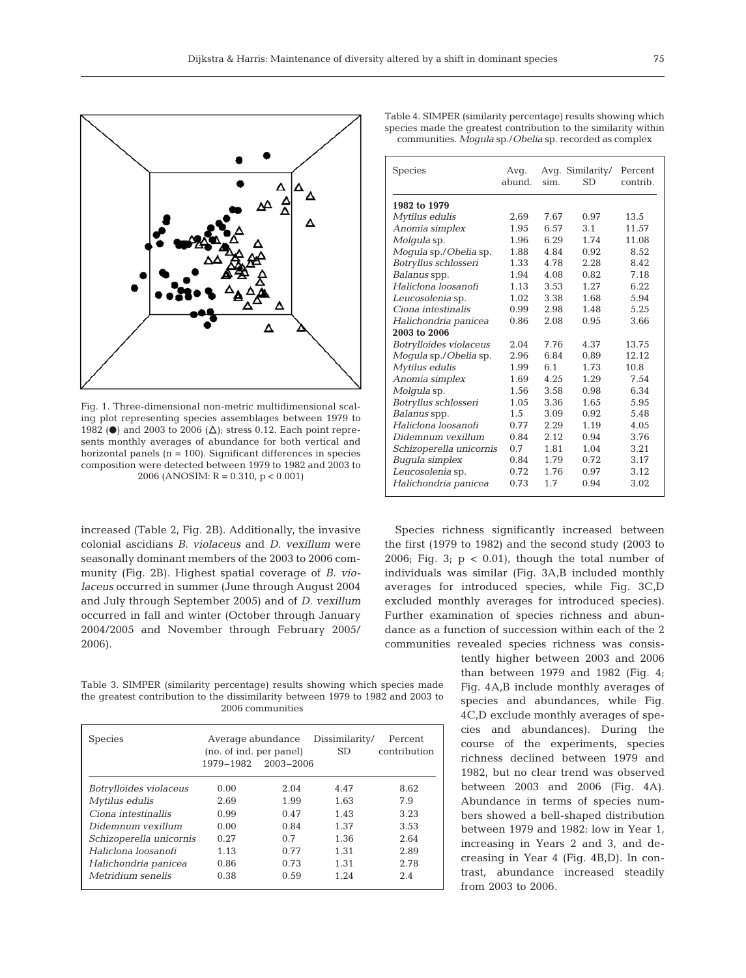

Fig. 1. Three-dimensional non-metric multidimensional scaling plot representing species assemblages between 1979 to 1982 ( $\bullet$ ) and 2003 to 2006 ( $\Delta$ ); stress 0.12. Each point represents monthly averages of abundance for both vertical and horizontal panels ( $n = 100$ ). Significant differences in species composition were detected between 1979 to 1982 and 2003 to 2006 (ANOSIM: R = 0.310, p < 0.001)

increased (Table 2, Fig. 2B). Additionally, the invasive colonial ascidians *B. violaceus* and *D. vexillum* were seasonally dominant members of the 2003 to 2006 community (Fig. 2B). Highest spatial coverage of *B. violaceus* occurred in summer (June through August 2004 and July through September 2005) and of *D. vexillum* occurred in fall and winter (October through January 2004/2005 and November through February 2005/ 2006).

Table 4. SIMPER (similarity percentage) results showing which species made the greatest contribution to the similarity within communities. *Mogula* sp./*Obelia* sp. recorded as complex

| <b>Species</b>          | Avq.<br>abund. | Avg. Similarity/<br>sim.<br><b>SD</b> |      | Percent<br>contrib. |
|-------------------------|----------------|---------------------------------------|------|---------------------|
| 1982 to 1979            |                |                                       |      |                     |
| Mytilus edulis          | 2.69           | 7.67                                  | 0.97 | 13.5                |
| Anomia simplex          | 1.95           | 6.57                                  | 3.1  | 11.57               |
| Molqula sp.             | 1.96           | 6.29                                  | 1.74 | 11.08               |
| Mogula sp./Obelia sp.   | 1.88           | 4.84                                  | 0.92 | 8.52                |
| Botryllus schlosseri    | 1.33           | 4.78                                  | 2.28 | 8.42                |
| Balanus spp.            | 1.94           | 4.08                                  | 0.82 | 7.18                |
| Haliclona loosanofi     | 1.13           | 3.53                                  | 1.27 | 6.22                |
| Leucosolenia sp.        | 1.02           | 3.38                                  | 1.68 | 5.94                |
| Ciona intestinalis      | 0.99           | 2.98                                  | 1.48 | 5.25                |
| Halichondria panicea    | 0.86           | 2.08                                  | 0.95 | 3.66                |
| 2003 to 2006            |                |                                       |      |                     |
| Botrylloides violaceus  | 2.04           | 7.76                                  | 4.37 | 13.75               |
| Mogula sp./Obelia sp.   | 2.96           | 6.84                                  | 0.89 | 12.12               |
| Mytilus edulis          | 1.99           | 6.1                                   | 1.73 | 10.8                |
| Anomia simplex          | 1.69           | 4.25                                  | 1.29 | 7.54                |
| Molqula sp.             | 1.56           | 3.58                                  | 0.98 | 6.34                |
| Botryllus schlosseri    | 1.05           | 3.36                                  | 1.65 | 5.95                |
| Balanus spp.            | 1.5            | 3.09                                  | 0.92 | 5.48                |
| Haliclona loosanofi     | 0.77           | 2.29                                  | 1.19 | 4.05                |
| Didemnum vexillum       | 0.84           | 2.12                                  | 0.94 | 3.76                |
| Schizoperella unicornis | 0.7            | 1.81                                  | 1.04 | 3.21                |
| Bugula simplex          | 0.84           | 1.79                                  | 0.72 | 3.17                |
| Leucosolenia sp.        | 0.72           | 1.76                                  | 0.97 | 3.12                |
| Halichondria panicea    | 0.73           | 1.7                                   | 0.94 | 3.02                |

Species richness significantly increased between the first (1979 to 1982) and the second study (2003 to 2006; Fig. 3;  $p < 0.01$ , though the total number of individuals was similar (Fig. 3A,B included monthly averages for introduced species, while Fig. 3C,D excluded monthly averages for introduced species). Further examination of species richness and abundance as a function of succession within each of the 2 communities revealed species richness was consis-

tently higher between 2003 and 2006 than between 1979 and 1982 (Fig.  $4$ ; Fig. 4A,B include monthly averages of species and abundances, while Fig. 4C,D exclude monthly averages of species and abundances). During the course of the experiments, species richness declined between 1979 and 1982, but no clear trend was observed between 2003 and 2006 (Fig. 4A). Abundance in terms of species numbers showed a bell-shaped distribution between 1979 and 1982: low in Year 1, increasing in Years 2 and 3, and decreasing in Year 4 (Fig. 4B,D). In contrast, abundance increased steadily from 2003 to 2006.

Table 3. SIMPER (similarity percentage) results showing which species made the greatest contribution to the dissimilarity between 1979 to 1982 and 2003 to 2006 communities

| <b>Species</b>          | Average abundance<br>(no. of ind. per panel) |      | Dissimilarity/<br><b>SD</b> | Percent<br>contribution |
|-------------------------|----------------------------------------------|------|-----------------------------|-------------------------|
|                         | 1979-1982 2003-2006                          |      |                             |                         |
| Botrylloides violaceus  | 0.00                                         | 2.04 | 4.47                        | 8.62                    |
| Mytilus edulis          | 2.69                                         | 1.99 | 1.63                        | 7.9                     |
| Ciona intestinallis     | 0.99                                         | 0.47 | 1.43                        | 3.23                    |
| Didemnum vexillum       | 0.00                                         | 0.84 | 1.37                        | 3.53                    |
| Schizoperella unicornis | 0.27                                         | 0.7  | 1.36                        | 2.64                    |
| Haliclona loosanofi     | 1.13                                         | 0.77 | 1.31                        | 2.89                    |
| Halichondria panicea    | 0.86                                         | 0.73 | 1.31                        | 2.78                    |
| Metridium senelis       | 0.38                                         | 0.59 | 1.24                        | 2.4                     |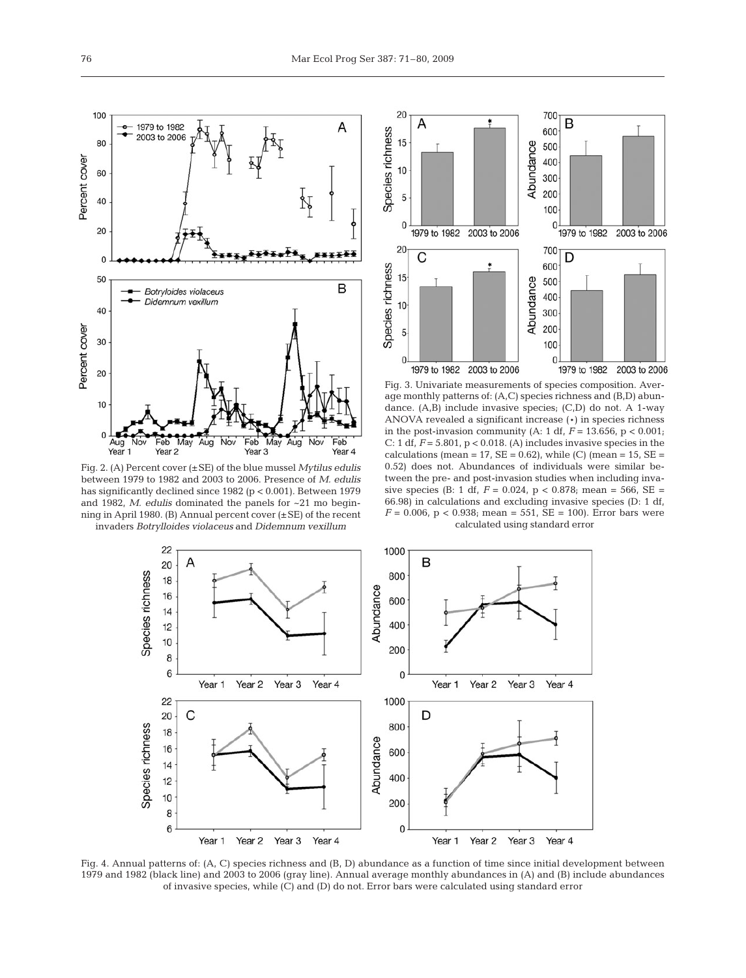

Fig. 2. (A) Percent cover (±SE) of the blue mussel *Mytilus edulis* between 1979 to 1982 and 2003 to 2006. Presence of *M. edulis* has significantly declined since 1982 (p < 0.001). Between 1979 and 1982, *M. edulis* dominated the panels for ~21 mo beginning in April 1980. (B) Annual percent cover (±SE) of the recent invaders *Botrylloides violaceus* and *Didemnum vexillum*



Fig. 3. Univariate measurements of species composition. Average monthly patterns of: (A,C) species richness and (B,D) abundance. (A,B) include invasive species; (C,D) do not. A 1-way ANOVA revealed a significant increase (\*) in species richness in the post-invasion community (A: 1 df,  $F = 13.656$ ,  $p < 0.001$ ; C: 1 df, *F* = 5.801, p < 0.018. (A) includes invasive species in the calculations (mean =  $17$ , SE = 0.62), while (C) (mean =  $15$ , SE = 0.52) does not. Abundances of individuals were similar between the pre- and post-invasion studies when including invasive species (B: 1 df, *F* = 0.024, p < 0.878; mean = 566, SE = 66.98) in calculations and excluding invasive species (D: 1 df,  $F = 0.006$ ,  $p < 0.938$ ; mean = 551, SE = 100). Error bars were calculated using standard error



Fig. 4. Annual patterns of: (A, C) species richness and (B, D) abundance as a function of time since initial development between 1979 and 1982 (black line) and 2003 to 2006 (gray line). Annual average monthly abundances in (A) and (B) include abundances of invasive species, while (C) and (D) do not. Error bars were calculated using standard error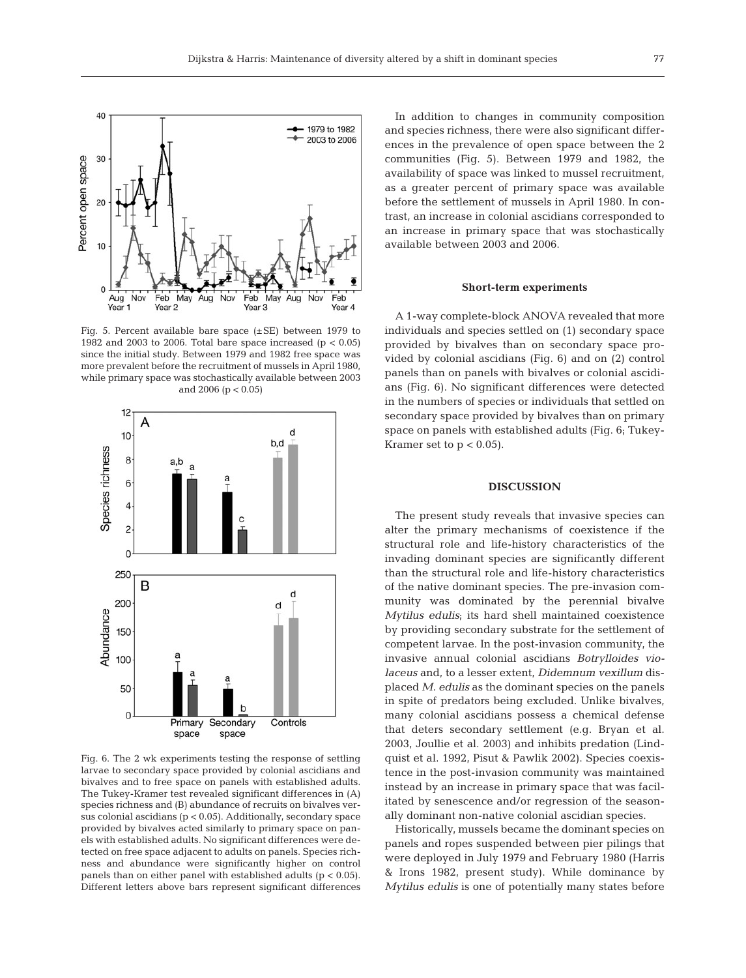

Fig. 5. Percent available bare space (±SE) between 1979 to 1982 and 2003 to 2006. Total bare space increased  $(p < 0.05)$ since the initial study. Between 1979 and 1982 free space was more prevalent before the recruitment of mussels in April 1980, while primary space was stochastically available between 2003 and 2006 (p < 0.05)



Fig. 6. The 2 wk experiments testing the response of settling larvae to secondary space provided by colonial ascidians and bivalves and to free space on panels with established adults. The Tukey-Kramer test revealed significant differences in (A) species richness and (B) abundance of recruits on bivalves versus colonial ascidians (p < 0.05). Additionally, secondary space provided by bivalves acted similarly to primary space on panels with established adults. No significant differences were detected on free space adjacent to adults on panels. Species richness and abundance were significantly higher on control panels than on either panel with established adults (p < 0.05). Different letters above bars represent significant differences

In addition to changes in community composition and species richness, there were also significant differences in the prevalence of open space between the 2 communities (Fig. 5). Between 1979 and 1982, the availability of space was linked to mussel recruitment, as a greater percent of primary space was available before the settlement of mussels in April 1980. In contrast, an increase in colonial ascidians corresponded to an increase in primary space that was stochastically available between 2003 and 2006.

#### **Short-term experiments**

A 1-way complete-block ANOVA revealed that more individuals and species settled on (1) secondary space provided by bivalves than on secondary space provided by colonial ascidians (Fig. 6) and on (2) control panels than on panels with bivalves or colonial ascidians (Fig. 6). No significant differences were detected in the numbers of species or individuals that settled on secondary space provided by bivalves than on primary space on panels with established adults (Fig. 6; Tukey-Kramer set to  $p < 0.05$ ).

### **DISCUSSION**

The present study reveals that invasive species can alter the primary mechanisms of coexistence if the structural role and life-history characteristics of the invading dominant species are significantly different than the structural role and life-history characteristics of the native dominant species. The pre-invasion community was dominated by the perennial bivalve *Mytilus edulis*; its hard shell maintained coexistence by providing secondary substrate for the settlement of competent larvae. In the post-invasion community, the invasive annual colonial ascidians *Botrylloides violaceus* and, to a lesser extent, *Didemnum vexillum* displaced *M. edulis* as the dominant species on the panels in spite of predators being excluded. Unlike bivalves, many colonial ascidians possess a chemical defense that deters secondary settlement (e.g. Bryan et al. 2003, Joullie et al. 2003) and inhibits predation (Lindquist et al. 1992, Pisut & Pawlik 2002). Species coexistence in the post-invasion community was maintained instead by an increase in primary space that was facilitated by senescence and/or regression of the seasonally dominant non-native colonial ascidian species.

Historically, mussels became the dominant species on panels and ropes suspended between pier pilings that were deployed in July 1979 and February 1980 (Harris & Irons 1982, present study). While dominance by *Mytilus edulis* is one of potentially many states before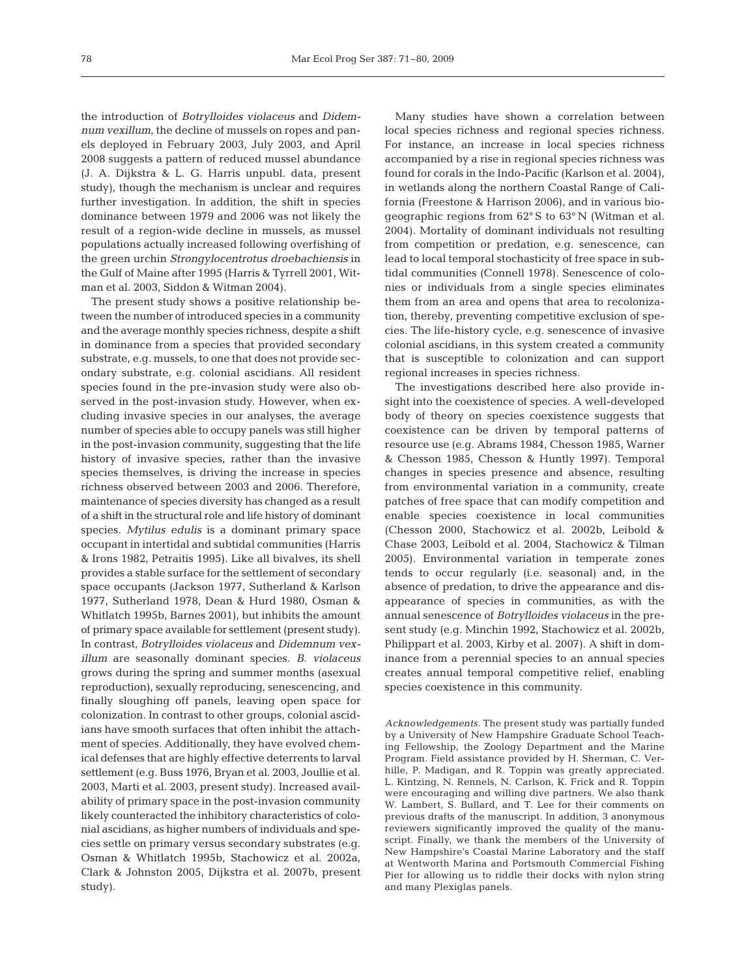the introduction of *Botrylloides violaceus* and *Didemnum vexillum*, the decline of mussels on ropes and panels deployed in February 2003, July 2003, and April 2008 suggests a pattern of reduced mussel abundance (J. A. Dijkstra & L. G. Harris unpubl. data, present study), though the mechanism is unclear and requires further investigation. In addition, the shift in species dominance between 1979 and 2006 was not likely the result of a region-wide decline in mussels, as mussel populations actually increased following overfishing of the green urchin *Strongylocentrotus droebachiensis* in the Gulf of Maine after 1995 (Harris & Tyrrell 2001, Witman et al. 2003, Siddon & Witman 2004).

The present study shows a positive relationship between the number of introduced species in a community and the average monthly species richness, despite a shift in dominance from a species that provided secondary substrate, e.g. mussels, to one that does not provide secondary substrate, e.g. colonial ascidians. All resident species found in the pre-invasion study were also observed in the post-invasion study. However, when excluding invasive species in our analyses, the average number of species able to occupy panels was still higher in the post-invasion community, suggesting that the life history of invasive species, rather than the invasive species themselves, is driving the increase in species richness observed between 2003 and 2006. Therefore, maintenance of species diversity has changed as a result of a shift in the structural role and life history of dominant species. *Mytilus edulis* is a dominant primary space occupant in intertidal and subtidal communities (Harris & Irons 1982, Petraitis 1995). Like all bivalves, its shell provides a stable surface for the settlement of secondary space occupants (Jackson 1977, Sutherland & Karlson 1977, Sutherland 1978, Dean & Hurd 1980, Osman & Whitlatch 1995b, Barnes 2001), but inhibits the amount of primary space available for settlement (present study). In contrast, *Botrylloides violaceus* and *Didemnum vexillum* are seasonally dominant species. *B. violaceus* grows during the spring and summer months (asexual reproduction), sexually reproducing, senescencing, and finally sloughing off panels, leaving open space for colonization. In contrast to other groups, colonial ascidians have smooth surfaces that often inhibit the attachment of species. Additionally, they have evolved chemical defenses that are highly effective deterrents to larval settlement (e.g. Buss 1976, Bryan et al. 2003, Joullie et al. 2003, Marti et al. 2003, present study). Increased availability of primary space in the post-invasion community likely counteracted the inhibitory characteristics of colonial ascidians, as higher numbers of individuals and species settle on primary versus secondary substrates (e.g. Osman & Whitlatch 1995b, Stachowicz et al. 2002a, Clark & Johnston 2005, Dijkstra et al. 2007b, present study).

Many studies have shown a correlation between local species richness and regional species richness. For instance, an increase in local species richness accompanied by a rise in regional species richness was found for corals in the Indo-Pacific (Karlson et al. 2004), in wetlands along the northern Coastal Range of California (Freestone & Harrison 2006), and in various biogeographic regions from 62° S to 63° N (Witman et al. 2004). Mortality of dominant individuals not resulting from competition or predation, e.g. senescence, can lead to local temporal stochasticity of free space in subtidal communities (Connell 1978). Senescence of colonies or individuals from a single species eliminates them from an area and opens that area to recolonization, thereby, preventing competitive exclusion of species. The life-history cycle, e.g. senescence of invasive colonial ascidians, in this system created a community that is susceptible to colonization and can support regional increases in species richness.

The investigations described here also provide insight into the coexistence of species. A well-developed body of theory on species coexistence suggests that coexistence can be driven by temporal patterns of resource use (e.g. Abrams 1984, Chesson 1985, Warner & Chesson 1985, Chesson & Huntly 1997). Temporal changes in species presence and absence, resulting from environmental variation in a community, create patches of free space that can modify competition and enable species coexistence in local communities (Chesson 2000, Stachowicz et al. 2002b, Leibold & Chase 2003, Leibold et al. 2004, Stachowicz & Tilman 2005). Environmental variation in temperate zones tends to occur regularly (i.e. seasonal) and, in the absence of predation, to drive the appearance and disappearance of species in communities, as with the annual senescence of *Botrylloides violaceus* in the present study (e.g. Minchin 1992, Stachowicz et al. 2002b, Philippart et al. 2003, Kirby et al. 2007). A shift in dominance from a perennial species to an annual species creates annual temporal competitive relief, enabling species coexistence in this community.

*Acknowledgements.* The present study was partially funded by a University of New Hampshire Graduate School Teaching Fellowship, the Zoology Department and the Marine Program. Field assistance provided by H. Sherman, C. Verhille, P. Madigan, and R. Toppin was greatly appreciated. L. Kintzing, N. Rennels, N. Carlson, K. Frick and R. Toppin were encouraging and willing dive partners. We also thank W. Lambert, S. Bullard, and T. Lee for their comments on previous drafts of the manuscript. In addition, 3 anonymous reviewers significantly improved the quality of the manuscript. Finally, we thank the members of the University of New Hampshire's Coastal Marine Laboratory and the staff at Wentworth Marina and Portsmouth Commercial Fishing Pier for allowing us to riddle their docks with nylon string and many Plexiglas panels.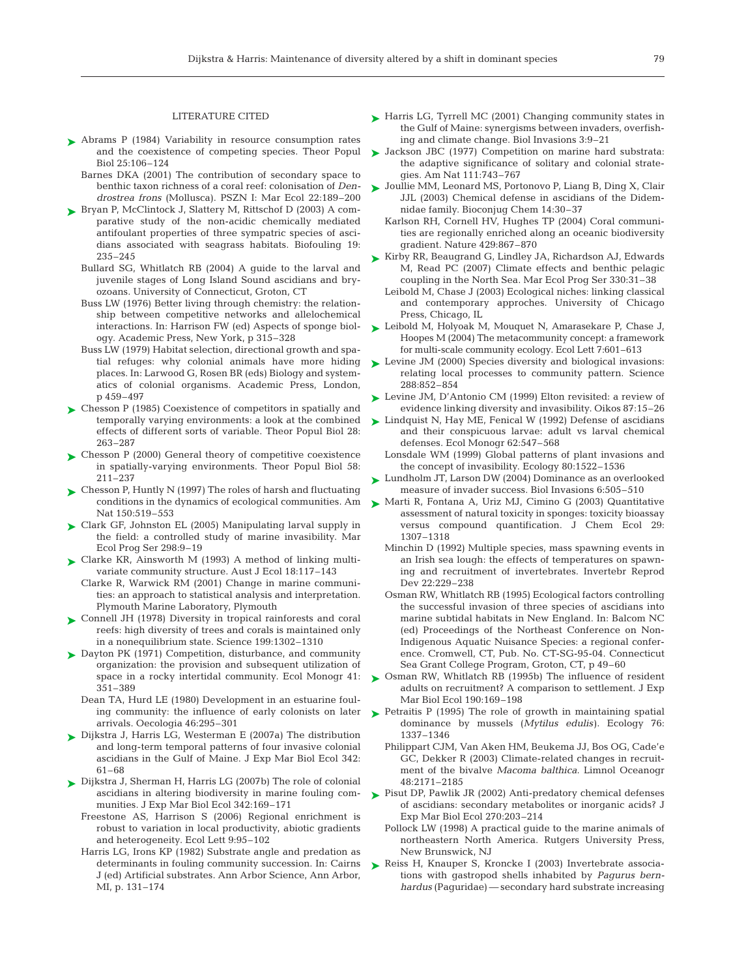#### LITERATURE CITED

- ► Abrams P (1984) Variability in resource consumption rates and the coexistence of competing species. Theor Popul Biol 25:106–124
	- Barnes DKA (2001) The contribution of secondary space to benthic taxon richness of a coral reef: colonisation of *Dendrostrea frons* (Mollusca). PSZN I: Mar Ecol 22:189–200
- ► Bryan P, McClintock J, Slattery M, Rittschof D (2003) A comparative study of the non-acidic chemically mediated antifoulant properties of three sympatric species of ascidians associated with seagrass habitats. Biofouling 19: 235–245
	- Bullard SG, Whitlatch RB (2004) A guide to the larval and juvenile stages of Long Island Sound ascidians and bryozoans. University of Connecticut, Groton, CT
	- Buss LW (1976) Better living through chemistry: the relationship between competitive networks and allelochemical interactions. In: Harrison FW (ed) Aspects of sponge biology. Academic Press, New York, p 315–328
	- Buss LW (1979) Habitat selection, directional growth and spatial refuges: why colonial animals have more hiding places. In: Larwood G, Rosen BR (eds) Biology and systematics of colonial organisms. Academic Press, London, p 459–497
- ► Chesson P (1985) Coexistence of competitors in spatially and temporally varying environments: a look at the combined effects of different sorts of variable. Theor Popul Biol 28: 263–287
- ► Chesson P (2000) General theory of competitive coexistence in spatially-varying environments. Theor Popul Biol 58: 211–237
- Chesson P, Huntly N (1997) The roles of harsh and fluctuating ➤ conditions in the dynamics of ecological communities. Am Nat 150:519–553
- ► Clark GF, Johnston EL (2005) Manipulating larval supply in the field: a controlled study of marine invasibility. Mar Ecol Prog Ser 298:9–19
- ► Clarke KR, Ainsworth M (1993) A method of linking multivariate community structure. Aust J Ecol 18:117–143
	- Clarke R, Warwick RM (2001) Change in marine communities: an approach to statistical analysis and interpretation. Plymouth Marine Laboratory, Plymouth
- ► Connell JH (1978) Diversity in tropical rainforests and coral reefs: high diversity of trees and corals is maintained only in a nonequilibrium state. Science 199:1302–1310
- ► Dayton PK (1971) Competition, disturbance, and community organization: the provision and subsequent utilization of space in a rocky intertidal community. Ecol Monogr 41: 351–389
	- Dean TA, Hurd LE (1980) Development in an estuarine fouling community: the influence of early colonists on later arrivals. Oecologia 46:295–301
- Dijkstra J, Harris LG, Westerman E (2007a) The distribution ➤ and long-term temporal patterns of four invasive colonial ascidians in the Gulf of Maine. J Exp Mar Biol Ecol 342: 61–68
- Dijkstra J, Sherman H, Harris LG (2007b) The role of colonial ➤ ascidians in altering biodiversity in marine fouling communities. J Exp Mar Biol Ecol 342:169–171
	- Freestone AS, Harrison S (2006) Regional enrichment is robust to variation in local productivity, abiotic gradients and heterogeneity. Ecol Lett 9:95–102
	- Harris LG, Irons KP (1982) Substrate angle and predation as determinants in fouling community succession. In: Cairns J (ed) Artificial substrates. Ann Arbor Science, Ann Arbor, MI, p. 131–174
- ► Harris LG, Tyrrell MC (2001) Changing community states in the Gulf of Maine: synergisms between invaders, overfishing and climate change. Biol Invasions 3:9–21
- Jackson JBC (1977) Competition on marine hard substrata: ➤ the adaptive significance of solitary and colonial strategies. Am Nat 111:743–767
- ► Joullie MM, Leonard MS, Portonovo P, Liang B, Ding X, Clair JJL (2003) Chemical defense in ascidians of the Didemnidae family. Bioconjug Chem 14:30–37
	- Karlson RH, Cornell HV, Hughes TP (2004) Coral communities are regionally enriched along an oceanic biodiversity gradient. Nature 429:867–870
- ► Kirby RR, Beaugrand G, Lindley JA, Richardson AJ, Edwards M, Read PC (2007) Climate effects and benthic pelagic coupling in the North Sea. Mar Ecol Prog Ser 330:31–38
	- Leibold M, Chase J (2003) Ecological niches: linking classical and contemporary approches. University of Chicago Press, Chicago, IL
- ► Leibold M, Holyoak M, Mouquet N, Amarasekare P, Chase J, Hoopes M (2004) The metacommunity concept: a framework for multi-scale community ecology. Ecol Lett 7:601–613
- ► Levine JM (2000) Species diversity and biological invasions: relating local processes to community pattern. Science 288:852–854
- $\blacktriangleright$  Levine JM, D'Antonio CM (1999) Elton revisited: a review of evidence linking diversity and invasibility. Oikos 87:15–26
- ► Lindquist N, Hay ME, Fenical W (1992) Defense of ascidians and their conspicuous larvae: adult vs larval chemical defenses. Ecol Monogr 62:547–568
	- Lonsdale WM (1999) Global patterns of plant invasions and the concept of invasibility. Ecology 80:1522–1536
- ► Lundholm JT, Larson DW (2004) Dominance as an overlooked measure of invader success. Biol Invasions 6:505–510
- ▶ Marti R, Fontana A, Uriz MJ, Cimino G (2003) Quantitative assessment of natural toxicity in sponges: toxicity bioassay versus compound quantification. J Chem Ecol 29: 1307–1318
	- Minchin D (1992) Multiple species, mass spawning events in an Irish sea lough: the effects of temperatures on spawning and recruitment of invertebrates. Invertebr Reprod Dev 22:229–238
	- Osman RW, Whitlatch RB (1995) Ecological factors controlling the successful invasion of three species of ascidians into marine subtidal habitats in New England. In: Balcom NC (ed) Proceedings of the Northeast Conference on Non-Indigenous Aquatic Nuisance Species: a regional conference. Cromwell, CT, Pub. No. CT-SG-95-04. Connecticut Sea Grant College Program, Groton, CT, p 49–60
- ► Osman RW, Whitlatch RB (1995b) The influence of resident adults on recruitment? A comparison to settlement. J Exp Mar Biol Ecol 190:169–198
- ▶ Petraitis P (1995) The role of growth in maintaining spatial dominance by mussels (*Mytilus edulis)*. Ecology 76: 1337–1346
	- Philippart CJM, Van Aken HM, Beukema JJ, Bos OG, Cade'e GC, Dekker R (2003) Climate-related changes in recruitment of the bivalve *Macoma balthica*. Limnol Oceanogr 48:2171–2185
- ► Pisut DP, Pawlik JR (2002) Anti-predatory chemical defenses of ascidians: secondary metabolites or inorganic acids? J Exp Mar Biol Ecol 270:203–214
	- Pollock LW (1998) A practical guide to the marine animals of northeastern North America. Rutgers University Press, New Brunswick, NJ
- ▶ Reiss H, Knauper S, Kroncke I (2003) Invertebrate associations with gastropod shells inhabited by *Pagurus bernhardus* (Paguridae) — secondary hard substrate increasing